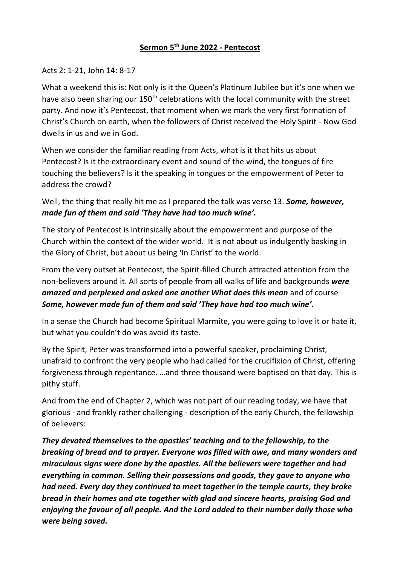## **Sermon 5th June 2022 - Pentecost**

## Acts 2: 1-21, John 14: 8-17

What a weekend this is: Not only is it the Queen's Platinum Jubilee but it's one when we have also been sharing our 150<sup>th</sup> celebrations with the local community with the street party. And now it's Pentecost, that moment when we mark the very first formation of Christ's Church on earth, when the followers of Christ received the Holy Spirit - Now God dwells in us and we in God.

When we consider the familiar reading from Acts, what is it that hits us about Pentecost? Is it the extraordinary event and sound of the wind, the tongues of fire touching the believers? Is it the speaking in tongues or the empowerment of Peter to address the crowd?

Well, the thing that really hit me as I prepared the talk was verse 13. *Some, however, made fun of them and said 'They have had too much wine'.*

The story of Pentecost is intrinsically about the empowerment and purpose of the Church within the context of the wider world. It is not about us indulgently basking in the Glory of Christ, but about us being 'In Christ' to the world.

From the very outset at Pentecost, the Spirit-filled Church attracted attention from the non-believers around it. All sorts of people from all walks of life and backgrounds *were amazed and perplexed and asked one another What does this mean* and of course *Some, however made fun of them and said 'They have had too much wine'.*

In a sense the Church had become Spiritual Marmite, you were going to love it or hate it, but what you couldn't do was avoid its taste.

By the Spirit, Peter was transformed into a powerful speaker, proclaiming Christ, unafraid to confront the very people who had called for the crucifixion of Christ, offering forgiveness through repentance. …and three thousand were baptised on that day. This is pithy stuff.

And from the end of Chapter 2, which was not part of our reading today, we have that glorious - and frankly rather challenging - description of the early Church, the fellowship of believers:

*They devoted themselves to the apostles' teaching and to the fellowship, to the breaking of bread and to prayer. Everyone was filled with awe, and many wonders and miraculous signs were done by the apostles. All the believers were together and had everything in common. Selling their possessions and goods, they gave to anyone who had need. Every day they continued to meet together in the temple courts, they broke bread in their homes and ate together with glad and sincere hearts, praising God and enjoying the favour of all people. And the Lord added to their number daily those who were being saved.*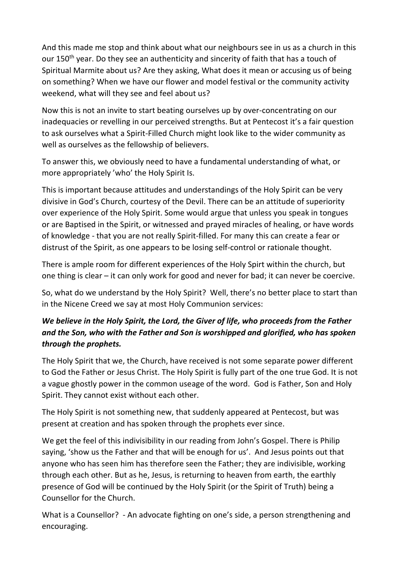And this made me stop and think about what our neighbours see in us as a church in this our 150<sup>th</sup> year. Do they see an authenticity and sincerity of faith that has a touch of Spiritual Marmite about us? Are they asking, What does it mean or accusing us of being on something? When we have our flower and model festival or the community activity weekend, what will they see and feel about us?

Now this is not an invite to start beating ourselves up by over-concentrating on our inadequacies or revelling in our perceived strengths. But at Pentecost it's a fair question to ask ourselves what a Spirit-Filled Church might look like to the wider community as well as ourselves as the fellowship of believers.

To answer this, we obviously need to have a fundamental understanding of what, or more appropriately 'who' the Holy Spirit Is.

This is important because attitudes and understandings of the Holy Spirit can be very divisive in God's Church, courtesy of the Devil. There can be an attitude of superiority over experience of the Holy Spirit. Some would argue that unless you speak in tongues or are Baptised in the Spirit, or witnessed and prayed miracles of healing, or have words of knowledge - that you are not really Spirit-filled. For many this can create a fear or distrust of the Spirit, as one appears to be losing self-control or rationale thought.

There is ample room for different experiences of the Holy Spirt within the church, but one thing is clear – it can only work for good and never for bad; it can never be coercive.

So, what do we understand by the Holy Spirit? Well, there's no better place to start than in the Nicene Creed we say at most Holy Communion services:

## *We believe in the Holy Spirit, the Lord, the Giver of life, who proceeds from the Father and the Son, who with the Father and Son is worshipped and glorified, who has spoken through the prophets.*

The Holy Spirit that we, the Church, have received is not some separate power different to God the Father or Jesus Christ. The Holy Spirit is fully part of the one true God. It is not a vague ghostly power in the common useage of the word. God is Father, Son and Holy Spirit. They cannot exist without each other.

The Holy Spirit is not something new, that suddenly appeared at Pentecost, but was present at creation and has spoken through the prophets ever since.

We get the feel of this indivisibility in our reading from John's Gospel. There is Philip saying, 'show us the Father and that will be enough for us'. And Jesus points out that anyone who has seen him has therefore seen the Father; they are indivisible, working through each other. But as he, Jesus, is returning to heaven from earth, the earthly presence of God will be continued by the Holy Spirit (or the Spirit of Truth) being a Counsellor for the Church.

What is a Counsellor? - An advocate fighting on one's side, a person strengthening and encouraging.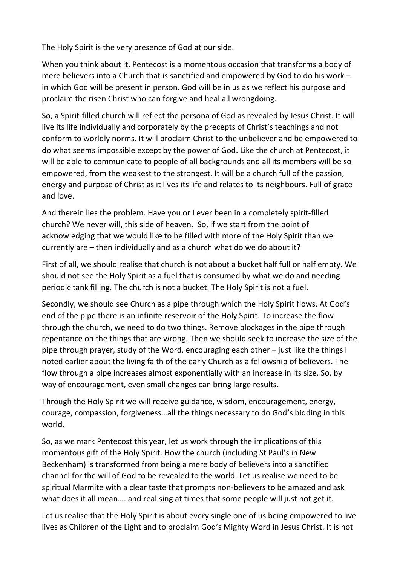The Holy Spirit is the very presence of God at our side.

When you think about it, Pentecost is a momentous occasion that transforms a body of mere believers into a Church that is sanctified and empowered by God to do his work – in which God will be present in person. God will be in us as we reflect his purpose and proclaim the risen Christ who can forgive and heal all wrongdoing.

So, a Spirit-filled church will reflect the persona of God as revealed by Jesus Christ. It will live its life individually and corporately by the precepts of Christ's teachings and not conform to worldly norms. It will proclaim Christ to the unbeliever and be empowered to do what seems impossible except by the power of God. Like the church at Pentecost, it will be able to communicate to people of all backgrounds and all its members will be so empowered, from the weakest to the strongest. It will be a church full of the passion, energy and purpose of Christ as it lives its life and relates to its neighbours. Full of grace and love.

And therein lies the problem. Have you or I ever been in a completely spirit-filled church? We never will, this side of heaven. So, if we start from the point of acknowledging that we would like to be filled with more of the Holy Spirit than we currently are – then individually and as a church what do we do about it?

First of all, we should realise that church is not about a bucket half full or half empty. We should not see the Holy Spirit as a fuel that is consumed by what we do and needing periodic tank filling. The church is not a bucket. The Holy Spirit is not a fuel.

Secondly, we should see Church as a pipe through which the Holy Spirit flows. At God's end of the pipe there is an infinite reservoir of the Holy Spirit. To increase the flow through the church, we need to do two things. Remove blockages in the pipe through repentance on the things that are wrong. Then we should seek to increase the size of the pipe through prayer, study of the Word, encouraging each other – just like the things I noted earlier about the living faith of the early Church as a fellowship of believers. The flow through a pipe increases almost exponentially with an increase in its size. So, by way of encouragement, even small changes can bring large results.

Through the Holy Spirit we will receive guidance, wisdom, encouragement, energy, courage, compassion, forgiveness…all the things necessary to do God's bidding in this world.

So, as we mark Pentecost this year, let us work through the implications of this momentous gift of the Holy Spirit. How the church (including St Paul's in New Beckenham) is transformed from being a mere body of believers into a sanctified channel for the will of God to be revealed to the world. Let us realise we need to be spiritual Marmite with a clear taste that prompts non-believers to be amazed and ask what does it all mean…. and realising at times that some people will just not get it.

Let us realise that the Holy Spirit is about every single one of us being empowered to live lives as Children of the Light and to proclaim God's Mighty Word in Jesus Christ. It is not